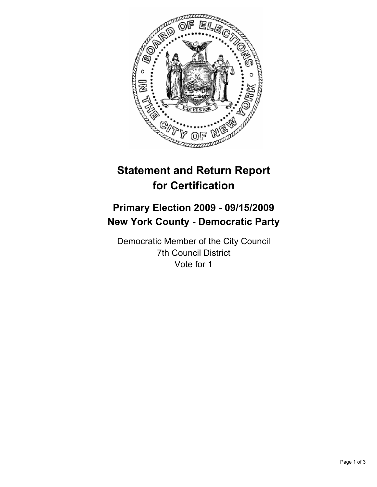

# **Statement and Return Report for Certification**

## **Primary Election 2009 - 09/15/2009 New York County - Democratic Party**

Democratic Member of the City Council 7th Council District Vote for 1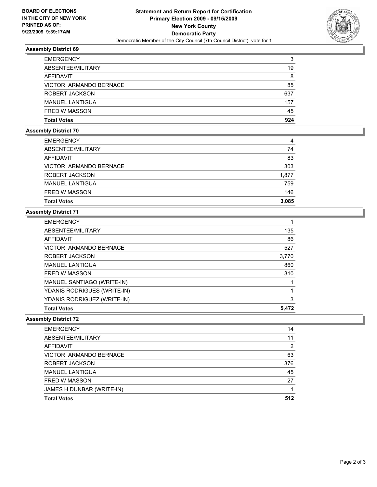

### **Assembly District 69**

| <b>EMERGENCY</b>       | 3   |
|------------------------|-----|
| ABSENTEE/MILITARY      | 19  |
| AFFIDAVIT              | 8   |
| VICTOR ARMANDO BERNACE | 85  |
| ROBERT JACKSON         | 637 |
| <b>MANUEL LANTIGUA</b> | 157 |
| <b>FRED W MASSON</b>   | 45  |
| <b>Total Votes</b>     | 924 |

## **Assembly District 70**

| <b>EMERGENCY</b>              | 4     |
|-------------------------------|-------|
| ABSENTEE/MILITARY             | 74    |
| <b>AFFIDAVIT</b>              | 83    |
| <b>VICTOR ARMANDO BERNACE</b> | 303   |
| ROBERT JACKSON                | 1,877 |
| <b>MANUEL LANTIGUA</b>        | 759   |
| <b>FRED W MASSON</b>          | 146   |
| <b>Total Votes</b>            | 3.085 |
|                               |       |

## **Assembly District 71**

| <b>EMERGENCY</b>              |       |
|-------------------------------|-------|
| ABSENTEE/MILITARY             | 135   |
| <b>AFFIDAVIT</b>              | 86    |
| <b>VICTOR ARMANDO BERNACE</b> | 527   |
| ROBERT JACKSON                | 3,770 |
| <b>MANUEL LANTIGUA</b>        | 860   |
| <b>FRED W MASSON</b>          | 310   |
| MANUEL SANTIAGO (WRITE-IN)    |       |
| YDANIS RODRIGUES (WRITE-IN)   |       |
| YDANIS RODRIGUEZ (WRITE-IN)   | 3     |
| <b>Total Votes</b>            | 5.472 |

#### **Assembly District 72**

| <b>EMERGENCY</b>              | 14  |
|-------------------------------|-----|
| ABSENTEE/MILITARY             | 11  |
| <b>AFFIDAVIT</b>              | 2   |
| <b>VICTOR ARMANDO BERNACE</b> | 63  |
| ROBERT JACKSON                | 376 |
| <b>MANUEL LANTIGUA</b>        | 45  |
| <b>FRED W MASSON</b>          | 27  |
| JAMES H DUNBAR (WRITE-IN)     |     |
| <b>Total Votes</b>            | 512 |